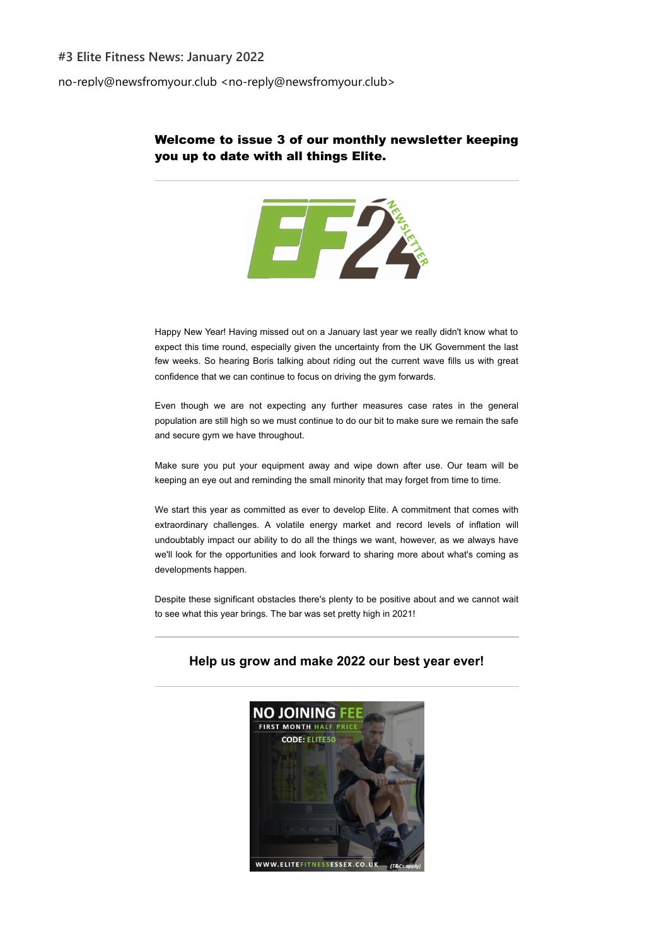### **#3 Elite Fitness News: January 2022**

no-reply@newsfromyour.club <no-reply@newsfromyour.club>

## Welcome to issue 3 of our monthly newsletter keeping you up to date with all things Elite.



Happy New Year! Having missed out on a January last year we really didn't know what to expect this time round, especially given the uncertainty from the UK Government the last few weeks. So hearing Boris talking about riding out the current wave fills us with great confidence that we can continue to focus on driving the gym forwards.

Even though we are not expecting any further measures case rates in the general population are still high so we must continue to do our bit to make sure we remain the safe and secure gym we have throughout.

Make sure you put your equipment away and wipe down after use. Our team will be keeping an eye out and reminding the small minority that may forget from time to time.

We start this year as committed as ever to develop Elite. A commitment that comes with extraordinary challenges. A volatile energy market and record levels of inflation will undoubtably impact our ability to do all the things we want, however, as we always have we'll look for the opportunities and look forward to sharing more about what's coming as developments happen.

Despite these significant obstacles there's plenty to be positive about and we cannot wait to see what this year brings. The bar was set pretty high in 2021!



# **Help us grow and make 2022 our best year ever!**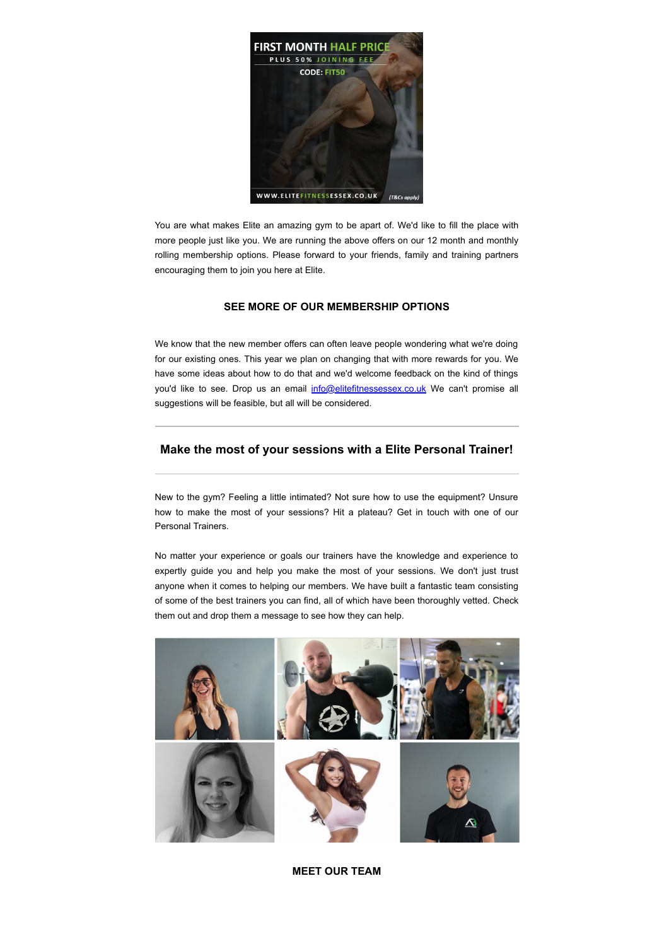

You are what makes Elite an amazing gym to be apart of. We'd like to fill the place with more people just like you. We are running the above offers on our 12 month and monthly rolling membership options. Please forward to your friends, family and training partners encouraging them to join you here at Elite.

### **[SEE MORE OF OUR MEMBERSHIP OPTIONS](https://emea01.safelinks.protection.outlook.com/?url=http%3A%2F%2Fgo.sparkpostmail.com%2Ff%2Fa%2Fqj1A2q5EDTnQCeqq9PCvFg~~%2FAABbxwA~%2FRgRjuBEoP0RAaHR0cHM6Ly93d3cuZWxpdGVmaXRuZXNzZXNzZXguY28udWsvMjQtaG91ci1neW0tbWVtYmVyc2hpcHMuaHRtbFcDc3BjQgph1ajd1mHe0-1BUhphYXJvbl9icmluZGxleUBob3RtYWlsLmNvbVgEAAAAAA~~&data=04%7C01%7C%7Cb573e751ebdd4fb92cfd08d9d10e6658%7C84df9e7fe9f640afb435aaaaaaaaaaaa%7C1%7C0%7C637770682043343779%7CUnknown%7CTWFpbGZsb3d8eyJWIjoiMC4wLjAwMDAiLCJQIjoiV2luMzIiLCJBTiI6Ik1haWwiLCJXVCI6Mn0%3D%7C3000&sdata=Fa5Hh8NfXb%2FeJNS05hYW9NRF5Pc0lvehUZfrviknfBg%3D&reserved=0)**

We know that the new member offers can often leave people wondering what we're doing for our existing ones. This year we plan on changing that with more rewards for you. We have some ideas about how to do that and we'd welcome feedback on the kind of things you'd like to see. Drop us an email [info@elitefitnessessex.co.uk](mailto:info@elitefitnessessex.co.uk) We can't promise all suggestions will be feasible, but all will be considered.

### **Make the most of your sessions with a Elite Personal Trainer!**

New to the gym? Feeling a little intimated? Not sure how to use the equipment? Unsure how to make the most of your sessions? Hit a plateau? Get in touch with one of our Personal Trainers.

No matter your experience or goals our trainers have the knowledge and experience to expertly guide you and help you make the most of your sessions. We don't just trust anyone when it comes to helping our members. We have built a fantastic team consisting of some of the best trainers you can find, all of which have been thoroughly vetted. Check them out and drop them a message to see how they can help.



**[MEET OUR TEAM](https://emea01.safelinks.protection.outlook.com/?url=http%3A%2F%2Fgo.sparkpostmail.com%2Ff%2Fa%2FxFs6A71Fy0dVA9S0L0f2cg~~%2FAABbxwA~%2FRgRjuBEoP0Q6aHR0cHM6Ly93d3cuZWxpdGVmaXRuZXNzZXNzZXguY28udWsvcGVyc29uYWwtdHJhaW5pbmcuaHRtbFcDc3BjQgph1ajd1mHe0-1BUhphYXJvbl9icmluZGxleUBob3RtYWlsLmNvbVgEAAAAAA~~&data=04%7C01%7C%7Cb573e751ebdd4fb92cfd08d9d10e6658%7C84df9e7fe9f640afb435aaaaaaaaaaaa%7C1%7C0%7C637770682043343779%7CUnknown%7CTWFpbGZsb3d8eyJWIjoiMC4wLjAwMDAiLCJQIjoiV2luMzIiLCJBTiI6Ik1haWwiLCJXVCI6Mn0%3D%7C3000&sdata=mt10E8PK815ZEim%2FTDHfmKlkAgGLeQbz9zKraDF5u4U%3D&reserved=0)**